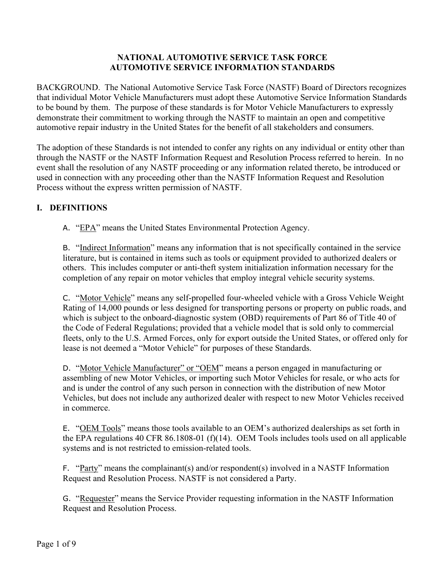### **NATIONAL AUTOMOTIVE SERVICE TASK FORCE AUTOMOTIVE SERVICE INFORMATION STANDARDS**

BACKGROUND. The National Automotive Service Task Force (NASTF) Board of Directors recognizes that individual Motor Vehicle Manufacturers must adopt these Automotive Service Information Standards to be bound by them. The purpose of these standards is for Motor Vehicle Manufacturers to expressly demonstrate their commitment to working through the NASTF to maintain an open and competitive automotive repair industry in the United States for the benefit of all stakeholders and consumers.

The adoption of these Standards is not intended to confer any rights on any individual or entity other than through the NASTF or the NASTF Information Request and Resolution Process referred to herein. In no event shall the resolution of any NASTF proceeding or any information related thereto, be introduced or used in connection with any proceeding other than the NASTF Information Request and Resolution Process without the express written permission of NASTF.

# **I. DEFINITIONS**

A. "EPA" means the United States Environmental Protection Agency.

B. "Indirect Information" means any information that is not specifically contained in the service literature, but is contained in items such as tools or equipment provided to authorized dealers or others. This includes computer or anti-theft system initialization information necessary for the completion of any repair on motor vehicles that employ integral vehicle security systems.

C. "Motor Vehicle" means any self-propelled four-wheeled vehicle with a Gross Vehicle Weight Rating of 14,000 pounds or less designed for transporting persons or property on public roads, and which is subject to the onboard-diagnostic system (OBD) requirements of Part 86 of Title 40 of the Code of Federal Regulations; provided that a vehicle model that is sold only to commercial fleets, only to the U.S. Armed Forces, only for export outside the United States, or offered only for lease is not deemed a "Motor Vehicle" for purposes of these Standards.

D. "Motor Vehicle Manufacturer" or "OEM" means a person engaged in manufacturing or assembling of new Motor Vehicles, or importing such Motor Vehicles for resale, or who acts for and is under the control of any such person in connection with the distribution of new Motor Vehicles, but does not include any authorized dealer with respect to new Motor Vehicles received in commerce.

E. "OEM Tools" means those tools available to an OEM's authorized dealerships as set forth in the EPA regulations 40 CFR 86.1808-01 (f)(14). OEM Tools includes tools used on all applicable systems and is not restricted to emission-related tools.

F. "Party" means the complainant(s) and/or respondent(s) involved in a NASTF Information Request and Resolution Process. NASTF is not considered a Party.

G. "Requester" means the Service Provider requesting information in the NASTF Information Request and Resolution Process.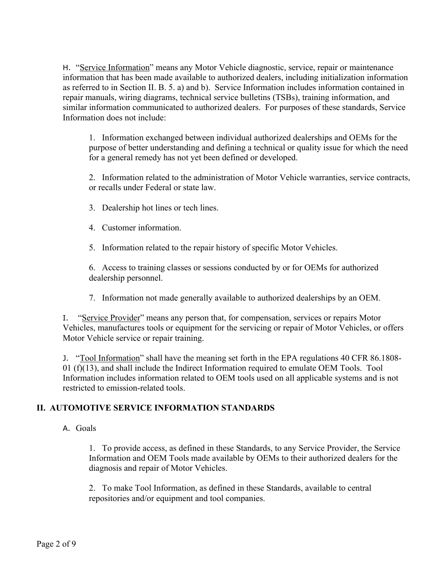H. "Service Information" means any Motor Vehicle diagnostic, service, repair or maintenance information that has been made available to authorized dealers, including initialization information as referred to in Section II. B. 5. a) and b). Service Information includes information contained in repair manuals, wiring diagrams, technical service bulletins (TSBs), training information, and similar information communicated to authorized dealers. For purposes of these standards, Service Information does not include:

1. Information exchanged between individual authorized dealerships and OEMs for the purpose of better understanding and defining a technical or quality issue for which the need for a general remedy has not yet been defined or developed.

2. Information related to the administration of Motor Vehicle warranties, service contracts, or recalls under Federal or state law.

- 3. Dealership hot lines or tech lines.
- 4. Customer information.
- 5. Information related to the repair history of specific Motor Vehicles.

6. Access to training classes or sessions conducted by or for OEMs for authorized dealership personnel.

7. Information not made generally available to authorized dealerships by an OEM.

I. "Service Provider" means any person that, for compensation, services or repairs Motor Vehicles, manufactures tools or equipment for the servicing or repair of Motor Vehicles, or offers Motor Vehicle service or repair training.

J. "Tool Information" shall have the meaning set forth in the EPA regulations 40 CFR 86.1808- 01 (f)(13), and shall include the Indirect Information required to emulate OEM Tools. Tool Information includes information related to OEM tools used on all applicable systems and is not restricted to emission-related tools.

# **II. AUTOMOTIVE SERVICE INFORMATION STANDARDS**

## A. Goals

1. To provide access, as defined in these Standards, to any Service Provider, the Service Information and OEM Tools made available by OEMs to their authorized dealers for the diagnosis and repair of Motor Vehicles.

2. To make Tool Information, as defined in these Standards, available to central repositories and/or equipment and tool companies.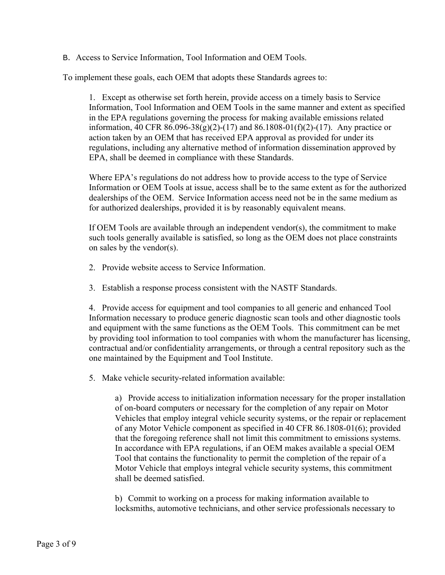B. Access to Service Information, Tool Information and OEM Tools.

To implement these goals, each OEM that adopts these Standards agrees to:

1. Except as otherwise set forth herein, provide access on a timely basis to Service Information, Tool Information and OEM Tools in the same manner and extent as specified in the EPA regulations governing the process for making available emissions related information, 40 CFR  $86.096-38(g)(2)-(17)$  and  $86.1808-01(f)(2)-(17)$ . Any practice or action taken by an OEM that has received EPA approval as provided for under its regulations, including any alternative method of information dissemination approved by EPA, shall be deemed in compliance with these Standards.

Where EPA's regulations do not address how to provide access to the type of Service Information or OEM Tools at issue, access shall be to the same extent as for the authorized dealerships of the OEM. Service Information access need not be in the same medium as for authorized dealerships, provided it is by reasonably equivalent means.

If OEM Tools are available through an independent vendor(s), the commitment to make such tools generally available is satisfied, so long as the OEM does not place constraints on sales by the vendor(s).

- 2. Provide website access to Service Information.
- 3. Establish a response process consistent with the NASTF Standards.

4. Provide access for equipment and tool companies to all generic and enhanced Tool Information necessary to produce generic diagnostic scan tools and other diagnostic tools and equipment with the same functions as the OEM Tools. This commitment can be met by providing tool information to tool companies with whom the manufacturer has licensing, contractual and/or confidentiality arrangements, or through a central repository such as the one maintained by the Equipment and Tool Institute.

5. Make vehicle security-related information available:

a) Provide access to initialization information necessary for the proper installation of on-board computers or necessary for the completion of any repair on Motor Vehicles that employ integral vehicle security systems, or the repair or replacement of any Motor Vehicle component as specified in 40 CFR 86.1808-01(6); provided that the foregoing reference shall not limit this commitment to emissions systems. In accordance with EPA regulations, if an OEM makes available a special OEM Tool that contains the functionality to permit the completion of the repair of a Motor Vehicle that employs integral vehicle security systems, this commitment shall be deemed satisfied.

b) Commit to working on a process for making information available to locksmiths, automotive technicians, and other service professionals necessary to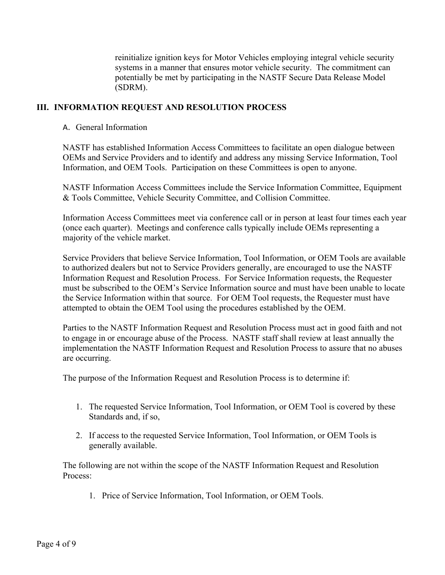reinitialize ignition keys for Motor Vehicles employing integral vehicle security systems in a manner that ensures motor vehicle security. The commitment can potentially be met by participating in the NASTF Secure Data Release Model (SDRM).

## **III. INFORMATION REQUEST AND RESOLUTION PROCESS**

#### A. General Information

NASTF has established Information Access Committees to facilitate an open dialogue between OEMs and Service Providers and to identify and address any missing Service Information, Tool Information, and OEM Tools. Participation on these Committees is open to anyone.

NASTF Information Access Committees include the Service Information Committee, Equipment & Tools Committee, Vehicle Security Committee, and Collision Committee.

Information Access Committees meet via conference call or in person at least four times each year (once each quarter). Meetings and conference calls typically include OEMs representing a majority of the vehicle market.

Service Providers that believe Service Information, Tool Information, or OEM Tools are available to authorized dealers but not to Service Providers generally, are encouraged to use the NASTF Information Request and Resolution Process. For Service Information requests, the Requester must be subscribed to the OEM's Service Information source and must have been unable to locate the Service Information within that source. For OEM Tool requests, the Requester must have attempted to obtain the OEM Tool using the procedures established by the OEM.

Parties to the NASTF Information Request and Resolution Process must act in good faith and not to engage in or encourage abuse of the Process. NASTF staff shall review at least annually the implementation the NASTF Information Request and Resolution Process to assure that no abuses are occurring.

The purpose of the Information Request and Resolution Process is to determine if:

- 1. The requested Service Information, Tool Information, or OEM Tool is covered by these Standards and, if so,
- 2. If access to the requested Service Information, Tool Information, or OEM Tools is generally available.

The following are not within the scope of the NASTF Information Request and Resolution Process:

1. Price of Service Information, Tool Information, or OEM Tools.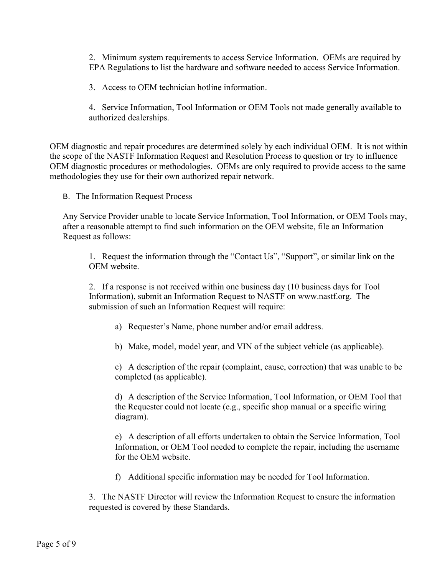2. Minimum system requirements to access Service Information. OEMs are required by EPA Regulations to list the hardware and software needed to access Service Information.

3. Access to OEM technician hotline information.

4. Service Information, Tool Information or OEM Tools not made generally available to authorized dealerships.

OEM diagnostic and repair procedures are determined solely by each individual OEM. It is not within the scope of the NASTF Information Request and Resolution Process to question or try to influence OEM diagnostic procedures or methodologies. OEMs are only required to provide access to the same methodologies they use for their own authorized repair network.

B. The Information Request Process

Any Service Provider unable to locate Service Information, Tool Information, or OEM Tools may, after a reasonable attempt to find such information on the OEM website, file an Information Request as follows:

1. Request the information through the "Contact Us", "Support", or similar link on the OEM website.

2. If a response is not received within one business day (10 business days for Tool Information), submit an Information Request to NASTF on www.nastf.org. The submission of such an Information Request will require:

a) Requester's Name, phone number and/or email address.

b) Make, model, model year, and VIN of the subject vehicle (as applicable).

c) A description of the repair (complaint, cause, correction) that was unable to be completed (as applicable).

d) A description of the Service Information, Tool Information, or OEM Tool that the Requester could not locate (e.g., specific shop manual or a specific wiring diagram).

e) A description of all efforts undertaken to obtain the Service Information, Tool Information, or OEM Tool needed to complete the repair, including the username for the OEM website.

f) Additional specific information may be needed for Tool Information.

3. The NASTF Director will review the Information Request to ensure the information requested is covered by these Standards.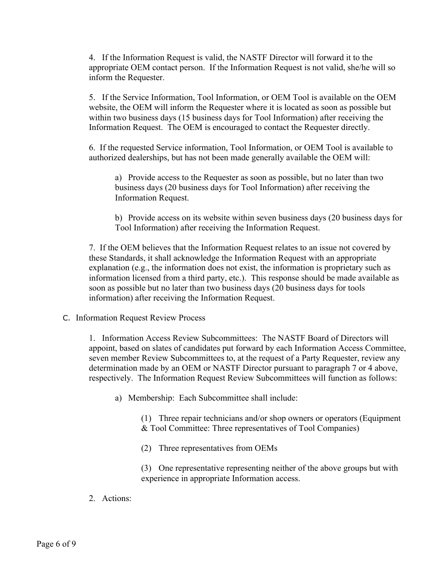4. If the Information Request is valid, the NASTF Director will forward it to the appropriate OEM contact person. If the Information Request is not valid, she/he will so inform the Requester.

5. If the Service Information, Tool Information, or OEM Tool is available on the OEM website, the OEM will inform the Requester where it is located as soon as possible but within two business days (15 business days for Tool Information) after receiving the Information Request. The OEM is encouraged to contact the Requester directly.

6. If the requested Service information, Tool Information, or OEM Tool is available to authorized dealerships, but has not been made generally available the OEM will:

a) Provide access to the Requester as soon as possible, but no later than two business days (20 business days for Tool Information) after receiving the Information Request.

b) Provide access on its website within seven business days (20 business days for Tool Information) after receiving the Information Request.

7. If the OEM believes that the Information Request relates to an issue not covered by these Standards, it shall acknowledge the Information Request with an appropriate explanation (e.g., the information does not exist, the information is proprietary such as information licensed from a third party, etc.). This response should be made available as soon as possible but no later than two business days (20 business days for tools information) after receiving the Information Request.

C. Information Request Review Process

1. Information Access Review Subcommittees: The NASTF Board of Directors will appoint, based on slates of candidates put forward by each Information Access Committee, seven member Review Subcommittees to, at the request of a Party Requester, review any determination made by an OEM or NASTF Director pursuant to paragraph 7 or 4 above, respectively. The Information Request Review Subcommittees will function as follows:

a) Membership: Each Subcommittee shall include:

(1) Three repair technicians and/or shop owners or operators (Equipment & Tool Committee: Three representatives of Tool Companies)

(2) Three representatives from OEMs

(3) One representative representing neither of the above groups but with experience in appropriate Information access.

2. Actions: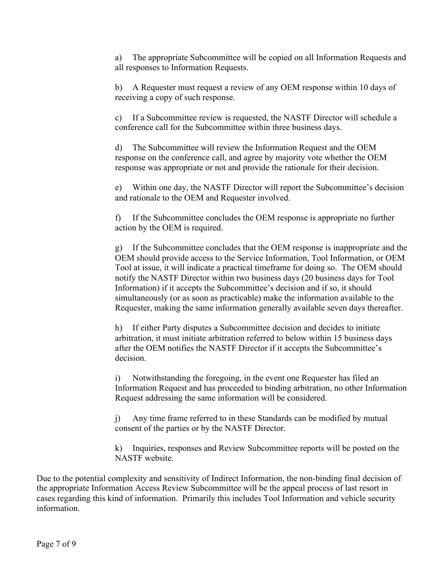a) The appropriate Subcommittee will be copied on all Information Requests and all responses to Information Requests.

b) A Requester must request a review of any OEM response within 10 days of receiving a copy of such response.

c) If a Subcommittee review is requested, the NASTF Director will schedule a conference call for the Subcommittee within three business days.

d) The Subcommittee will review the Information Request and the OEM response on the conference call, and agree by majority vote whether the OEM response was appropriate or not and provide the rationale for their decision.

e) Within one day, the NASTF Director will report the Subcommittee's decision and rationale to the OEM and Requester involved.

f) If the Subcommittee concludes the OEM response is appropriate no further action by the OEM is required.

g) If the Subcommittee concludes that the OEM response is inappropriate and the OEM should provide access to the Service Information, Tool Information, or OEM Tool at issue, it will indicate a practical timeframe for doing so. The OEM should notify the NASTF Director within two business days (20 business days for Tool Information) if it accepts the Subcommittee's decision and if so, it should simultaneously (or as soon as practicable) make the information available to the Requester, making the same information generally available seven days thereafter.

h) If either Party disputes a Subcommittee decision and decides to initiate arbitration, it must initiate arbitration referred to below within 15 business days after the OEM notifies the NASTF Director if it accepts the Subcommittee's decision.

i) Notwithstanding the foregoing, in the event one Requester has filed an Information Request and has proceeded to binding arbitration, no other Information Request addressing the same information will be considered.

j) Any time frame referred to in these Standards can be modified by mutual consent of the parties or by the NASTF Director.

k) Inquiries, responses and Review Subcommittee reports will be posted on the NASTF website.

Due to the potential complexity and sensitivity of Indirect Information, the non-binding final decision of the appropriate Information Access Review Subcommittee will be the appeal process of last resort in cases regarding this kind of information. Primarily this includes Tool Information and vehicle security information.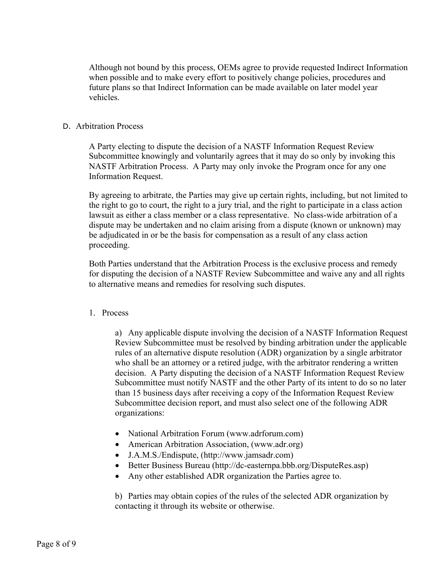Although not bound by this process, OEMs agree to provide requested Indirect Information when possible and to make every effort to positively change policies, procedures and future plans so that Indirect Information can be made available on later model year vehicles.

#### D. Arbitration Process

A Party electing to dispute the decision of a NASTF Information Request Review Subcommittee knowingly and voluntarily agrees that it may do so only by invoking this NASTF Arbitration Process. A Party may only invoke the Program once for any one Information Request.

By agreeing to arbitrate, the Parties may give up certain rights, including, but not limited to the right to go to court, the right to a jury trial, and the right to participate in a class action lawsuit as either a class member or a class representative. No class-wide arbitration of a dispute may be undertaken and no claim arising from a dispute (known or unknown) may be adjudicated in or be the basis for compensation as a result of any class action proceeding.

Both Parties understand that the Arbitration Process is the exclusive process and remedy for disputing the decision of a NASTF Review Subcommittee and waive any and all rights to alternative means and remedies for resolving such disputes.

#### 1. Process

a) Any applicable dispute involving the decision of a NASTF Information Request Review Subcommittee must be resolved by binding arbitration under the applicable rules of an alternative dispute resolution (ADR) organization by a single arbitrator who shall be an attorney or a retired judge, with the arbitrator rendering a written decision. A Party disputing the decision of a NASTF Information Request Review Subcommittee must notify NASTF and the other Party of its intent to do so no later than 15 business days after receiving a copy of the Information Request Review Subcommittee decision report, and must also select one of the following ADR organizations:

- National Arbitration Forum (www.adrforum.com)
- American Arbitration Association, (www.adr.org)
- J.A.M.S./Endispute, (http://www.jamsadr.com)
- Better Business Bureau (http://dc-easternpa.bbb.org/DisputeRes.asp)
- Any other established ADR organization the Parties agree to.

b) Parties may obtain copies of the rules of the selected ADR organization by contacting it through its website or otherwise.